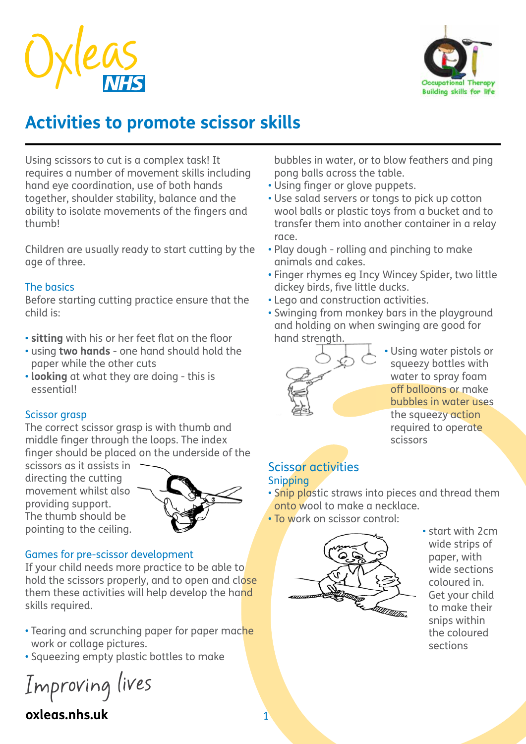



# **Activities to promote scissor skills**

Using scissors to cut is a complex task! It requires a number of movement skills including hand eye coordination, use of both hands together, shoulder stability, balance and the ability to isolate movements of the fingers and thumb!

Children are usually ready to start cutting by the age of three.

### The basics

Before starting cutting practice ensure that the child is:

- **sitting** with his or her feet flat on the floor
- using **two hands** one hand should hold the paper while the other cuts
- **looking** at what they are doing this is essential!

#### Scissor grasp

The correct scissor grasp is with thumb and middle finger through the loops. The index finger should be placed on the underside of the

scissors as it assists in directing the cutting movement whilst also providing support. The thumb should be pointing to the ceiling.



### Games for pre-scissor development

If your child needs more practice to be able to hold the scissors properly, and to open and close them these activities will help develop the hand skills required.

- Tearing and scrunching paper for paper mache work or collage pictures.
- Squeezing empty plastic bottles to make

Improving lives

## **oxleas.nhs.uk**

bubbles in water, or to blow feathers and ping pong balls across the table.

- Using finger or glove puppets.
- Use salad servers or tongs to pick up cotton wool balls or plastic toys from a bucket and to transfer them into another container in a relay race.
- Play dough rolling and pinching to make animals and cakes.
- Finger rhymes eg Incy Wincey Spider, two little dickey birds, five little ducks.
- Lego and construction activities.
- Swinging from monkey bars in the playground and holding on when swinging are good for hand strength.



• Using water pistols or squeezy bottles with water to spray foam off balloons or make bubbles in water uses the squeezy action required to operate scissors

### Scissor activities **Snipping**

• Snip plastic straws into pieces and thread them onto wool to make a necklace.

• To work on scissor control:



• start with 2cm wide strips of paper, with wide sections coloured in. Get your child to make their snips within the coloured sections